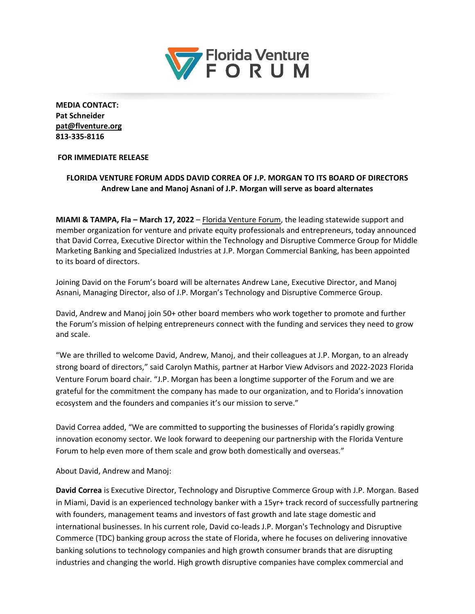

**MEDIA CONTACT: Pat Schneider [pat@flventure.org](mailto:pat@flventure.org) 813-335-8116**

## **FOR IMMEDIATE RELEASE**

## **FLORIDA VENTURE FORUM ADDS DAVID CORREA OF J.P. MORGAN TO ITS BOARD OF DIRECTORS Andrew Lane and Manoj Asnani of J.P. Morgan will serve as board alternates**

**MIAMI & TAMPA, Fla – March 17, 2022** – [Florida Venture Forum,](http://www.flventure.org/) the leading statewide support and member organization for venture and private equity professionals and entrepreneurs, today announced that David Correa, Executive Director within the Technology and Disruptive Commerce Group for Middle Marketing Banking and Specialized Industries at J.P. Morgan Commercial Banking, has been appointed to its board of directors.

Joining David on the Forum's board will be alternates Andrew Lane, Executive Director, and Manoj Asnani, Managing Director, also of J.P. Morgan's Technology and Disruptive Commerce Group.

David, Andrew and Manoj join 50+ other board members who work together to promote and further the Forum's mission of helping entrepreneurs connect with the funding and services they need to grow and scale.

"We are thrilled to welcome David, Andrew, Manoj, and their colleagues at J.P. Morgan, to an already strong board of directors," said Carolyn Mathis, partner at Harbor View Advisors and 2022-2023 Florida Venture Forum board chair. "J.P. Morgan has been a longtime supporter of the Forum and we are grateful for the commitment the company has made to our organization, and to Florida's innovation ecosystem and the founders and companies it's our mission to serve."

David Correa added, "We are committed to supporting the businesses of Florida's rapidly growing innovation economy sector. We look forward to deepening our partnership with the Florida Venture Forum to help even more of them scale and grow both domestically and overseas."

About David, Andrew and Manoj:

**David Correa** is Executive Director, Technology and Disruptive Commerce Group with J.P. Morgan. Based in Miami, David is an experienced technology banker with a 15yr+ track record of successfully partnering with founders, management teams and investors of fast growth and late stage domestic and international businesses. In his current role, David co-leads J.P. Morgan's Technology and Disruptive Commerce (TDC) banking group across the state of Florida, where he focuses on delivering innovative banking solutions to technology companies and high growth consumer brands that are disrupting industries and changing the world. High growth disruptive companies have complex commercial and